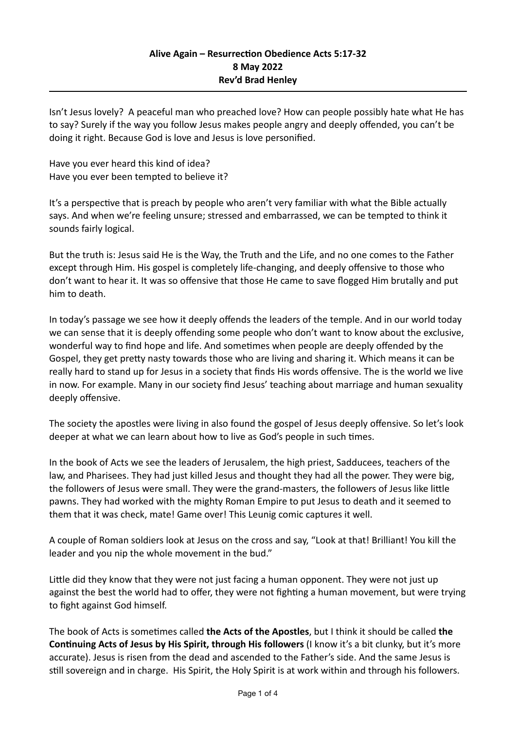Isn't Jesus lovely? A peaceful man who preached love? How can people possibly hate what He has to say? Surely if the way you follow Jesus makes people angry and deeply offended, you can't be doing it right. Because God is love and Jesus is love personified.

Have you ever heard this kind of idea? Have you ever been tempted to believe it?

It's a perspective that is preach by people who aren't very familiar with what the Bible actually says. And when we're feeling unsure; stressed and embarrassed, we can be tempted to think it sounds fairly logical.

But the truth is: Jesus said He is the Way, the Truth and the Life, and no one comes to the Father except through Him. His gospel is completely life-changing, and deeply offensive to those who don't want to hear it. It was so offensive that those He came to save flogged Him brutally and put him to death.

In today's passage we see how it deeply offends the leaders of the temple. And in our world today we can sense that it is deeply offending some people who don't want to know about the exclusive, wonderful way to find hope and life. And sometimes when people are deeply offended by the Gospel, they get pretty nasty towards those who are living and sharing it. Which means it can be really hard to stand up for Jesus in a society that finds His words offensive. The is the world we live in now. For example. Many in our society find Jesus' teaching about marriage and human sexuality deeply offensive.

The society the apostles were living in also found the gospel of Jesus deeply offensive. So let's look deeper at what we can learn about how to live as God's people in such times.

In the book of Acts we see the leaders of Jerusalem, the high priest, Sadducees, teachers of the law, and Pharisees. They had just killed Jesus and thought they had all the power. They were big, the followers of Jesus were small. They were the grand-masters, the followers of Jesus like little pawns. They had worked with the mighty Roman Empire to put Jesus to death and it seemed to them that it was check, mate! Game over! This Leunig comic captures it well.

A couple of Roman soldiers look at Jesus on the cross and say, "Look at that! Brilliant! You kill the leader and you nip the whole movement in the bud."

Little did they know that they were not just facing a human opponent. They were not just up against the best the world had to offer, they were not fighting a human movement, but were trying to fight against God himself.

The book of Acts is sometimes called **the Acts of the Apostles**, but I think it should be called **the Continuing Acts of Jesus by His Spirit, through His followers** (I know it's a bit clunky, but it's more accurate). Jesus is risen from the dead and ascended to the Father's side. And the same Jesus is still sovereign and in charge. His Spirit, the Holy Spirit is at work within and through his followers.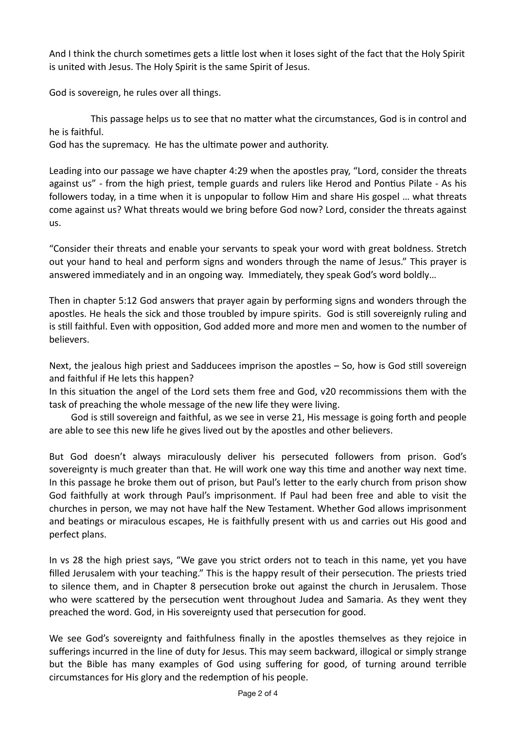And I think the church sometimes gets a little lost when it loses sight of the fact that the Holy Spirit is united with Jesus. The Holy Spirit is the same Spirit of Jesus.

God is sovereign, he rules over all things.

This passage helps us to see that no matter what the circumstances, God is in control and he is faithful.

God has the supremacy. He has the ultimate power and authority.

Leading into our passage we have chapter 4:29 when the apostles pray, "Lord, consider the threats against us" - from the high priest, temple guards and rulers like Herod and Pontius Pilate - As his followers today, in a time when it is unpopular to follow Him and share His gospel … what threats come against us? What threats would we bring before God now? Lord, consider the threats against us.

"Consider their threats and enable your servants to speak your word with great boldness. Stretch out your hand to heal and perform signs and wonders through the name of Jesus." This prayer is answered immediately and in an ongoing way. Immediately, they speak God's word boldly…

Then in chapter 5:12 God answers that prayer again by performing signs and wonders through the apostles. He heals the sick and those troubled by impure spirits. God is still sovereignly ruling and is still faithful. Even with opposition, God added more and more men and women to the number of believers.

Next, the jealous high priest and Sadducees imprison the apostles – So, how is God still sovereign and faithful if He lets this happen?

In this situation the angel of the Lord sets them free and God, v20 recommissions them with the task of preaching the whole message of the new life they were living.

 God is still sovereign and faithful, as we see in verse 21, His message is going forth and people are able to see this new life he gives lived out by the apostles and other believers.

But God doesn't always miraculously deliver his persecuted followers from prison. God's sovereignty is much greater than that. He will work one way this time and another way next time. In this passage he broke them out of prison, but Paul's letter to the early church from prison show God faithfully at work through Paul's imprisonment. If Paul had been free and able to visit the churches in person, we may not have half the New Testament. Whether God allows imprisonment and beatings or miraculous escapes, He is faithfully present with us and carries out His good and perfect plans.

In vs 28 the high priest says, "We gave you strict orders not to teach in this name, yet you have filled Jerusalem with your teaching." This is the happy result of their persecution. The priests tried to silence them, and in Chapter 8 persecution broke out against the church in Jerusalem. Those who were scattered by the persecution went throughout Judea and Samaria. As they went they preached the word. God, in His sovereignty used that persecution for good.

We see God's sovereignty and faithfulness finally in the apostles themselves as they rejoice in sufferings incurred in the line of duty for Jesus. This may seem backward, illogical or simply strange but the Bible has many examples of God using suffering for good, of turning around terrible circumstances for His glory and the redemption of his people.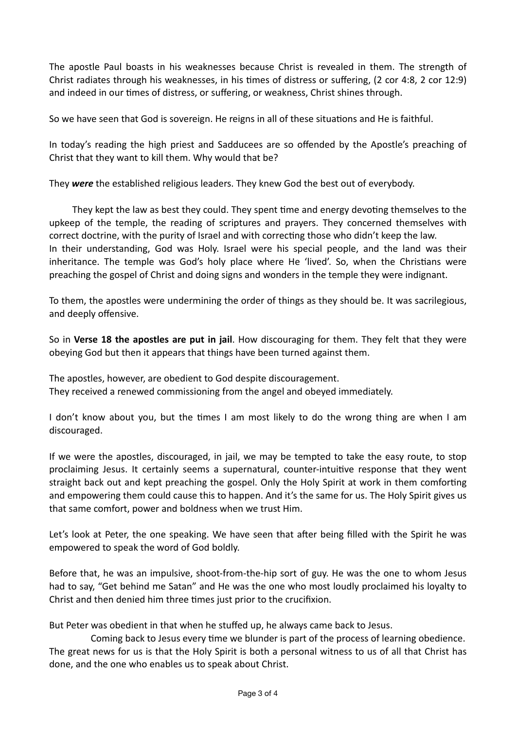The apostle Paul boasts in his weaknesses because Christ is revealed in them. The strength of Christ radiates through his weaknesses, in his times of distress or suffering, (2 cor 4:8, 2 cor 12:9) and indeed in our times of distress, or suffering, or weakness, Christ shines through.

So we have seen that God is sovereign. He reigns in all of these situations and He is faithful.

In today's reading the high priest and Sadducees are so offended by the Apostle's preaching of Christ that they want to kill them. Why would that be?

They *were* the established religious leaders. They knew God the best out of everybody.

 They kept the law as best they could. They spent time and energy devoting themselves to the upkeep of the temple, the reading of scriptures and prayers. They concerned themselves with correct doctrine, with the purity of Israel and with correcting those who didn't keep the law. In their understanding, God was Holy. Israel were his special people, and the land was their inheritance. The temple was God's holy place where He 'lived'. So, when the Christians were preaching the gospel of Christ and doing signs and wonders in the temple they were indignant.

To them, the apostles were undermining the order of things as they should be. It was sacrilegious, and deeply offensive.

So in **Verse 18 the apostles are put in jail**. How discouraging for them. They felt that they were obeying God but then it appears that things have been turned against them.

The apostles, however, are obedient to God despite discouragement. They received a renewed commissioning from the angel and obeyed immediately.

I don't know about you, but the times I am most likely to do the wrong thing are when I am discouraged.

If we were the apostles, discouraged, in jail, we may be tempted to take the easy route, to stop proclaiming Jesus. It certainly seems a supernatural, counter-intuitive response that they went straight back out and kept preaching the gospel. Only the Holy Spirit at work in them comforting and empowering them could cause this to happen. And it's the same for us. The Holy Spirit gives us that same comfort, power and boldness when we trust Him.

Let's look at Peter, the one speaking. We have seen that after being filled with the Spirit he was empowered to speak the word of God boldly.

Before that, he was an impulsive, shoot-from-the-hip sort of guy. He was the one to whom Jesus had to say, "Get behind me Satan" and He was the one who most loudly proclaimed his loyalty to Christ and then denied him three times just prior to the crucifixion.

But Peter was obedient in that when he stuffed up, he always came back to Jesus.

Coming back to Jesus every time we blunder is part of the process of learning obedience. The great news for us is that the Holy Spirit is both a personal witness to us of all that Christ has done, and the one who enables us to speak about Christ.